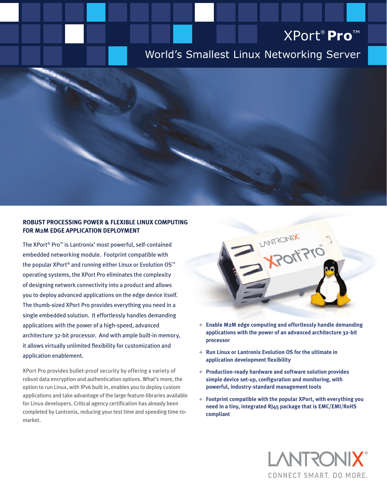# XPort® **Pro**™

# World's Smallest Linux Networking Server

### **Robust Processing Power & Flexible Linux Computing for M2M Edge Application Deployment**

The XPort® Pro™ is Lantronix' most powerful, self-contained embedded networking module. Footprint compatible with the popular XPort® and running either Linux or Evolution OS™ operating systems, the XPort Pro eliminates the complexity of designing network connectivity into a product and allows you to deploy advanced applications on the edge device itself. The thumb-sized XPort Pro provides everything you need in a single embedded solution. It effortlessly handles demanding applications with the power of a high-speed, advanced architecture 32-bit processor. And with ample built-in memory, it allows virtually unlimited flexibility for customization and application enablement.

XPort Pro provides bullet-proof security by offering a variety of robust data encryption and authentication options. What's more, the option to run Linux, with IPv6 built in, enables you to deploy custom applications and take advantage of the large feature-libraries available for Linux developers. Critical agency certification has already been completed by Lantronix, reducing your test time and speeding time-tomarket.



- **+ Enable M2M edge computing and effortlessly handle demanding applications with the power of an advanced architecture 32-bit processor**
- **+ Run Linux or Lantronix Evolution OS for the ultimate in application development flexibility**
- **+ Production-ready hardware and software solution provides simple device set-up, configuration and monitoring, with powerful, industry-standard management tools**
- **+ Footprint compatible with the popular XPort, with everything you need in a tiny, integrated RJ45 package that is EMC/EMI/RoHS compliant**